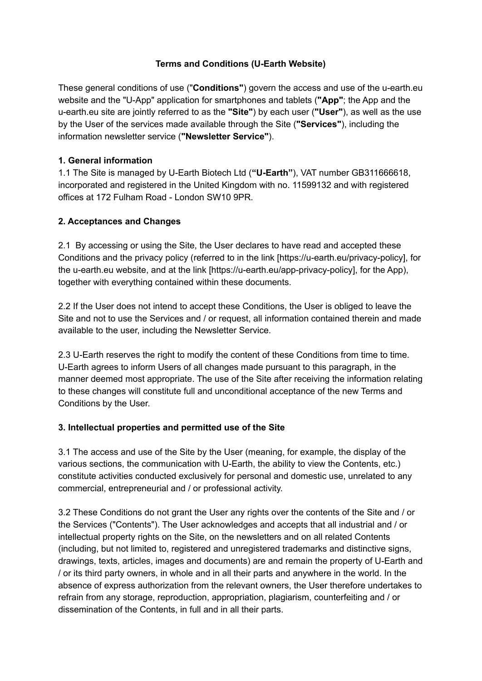## **Terms and Conditions (U-Earth Website)**

These general conditions of use ("**Conditions"**) govern the access and use of the u-earth.eu website and the "U-App" application for smartphones and tablets (**"App"**; the App and the u-earth.eu site are jointly referred to as the **"Site"**) by each user (**"User"**), as well as the use by the User of the services made available through the Site (**"Services"**), including the information newsletter service (**"Newsletter Service"**).

## **1. General information**

1.1 The Site is managed by U-Earth Biotech Ltd (**"U-Earth"**), VAT number GB311666618, incorporated and registered in the United Kingdom with no. 11599132 and with registered offices at 172 Fulham Road - London SW10 9PR.

# **2. Acceptances and Changes**

2.1 By accessing or using the Site, the User declares to have read and accepted these Conditions and the privacy policy (referred to in the link [https://u-earth.eu/privacy-policy], for the u-earth.eu website, and at the link [https://u-earth.eu/app-privacy-policy], for the App), together with everything contained within these documents.

2.2 If the User does not intend to accept these Conditions, the User is obliged to leave the Site and not to use the Services and / or request, all information contained therein and made available to the user, including the Newsletter Service.

2.3 U-Earth reserves the right to modify the content of these Conditions from time to time. U-Earth agrees to inform Users of all changes made pursuant to this paragraph, in the manner deemed most appropriate. The use of the Site after receiving the information relating to these changes will constitute full and unconditional acceptance of the new Terms and Conditions by the User.

## **3. Intellectual properties and permitted use of the Site**

3.1 The access and use of the Site by the User (meaning, for example, the display of the various sections, the communication with U-Earth, the ability to view the Contents, etc.) constitute activities conducted exclusively for personal and domestic use, unrelated to any commercial, entrepreneurial and / or professional activity.

3.2 These Conditions do not grant the User any rights over the contents of the Site and / or the Services ("Contents"). The User acknowledges and accepts that all industrial and / or intellectual property rights on the Site, on the newsletters and on all related Contents (including, but not limited to, registered and unregistered trademarks and distinctive signs, drawings, texts, articles, images and documents) are and remain the property of U-Earth and / or its third party owners, in whole and in all their parts and anywhere in the world. In the absence of express authorization from the relevant owners, the User therefore undertakes to refrain from any storage, reproduction, appropriation, plagiarism, counterfeiting and / or dissemination of the Contents, in full and in all their parts.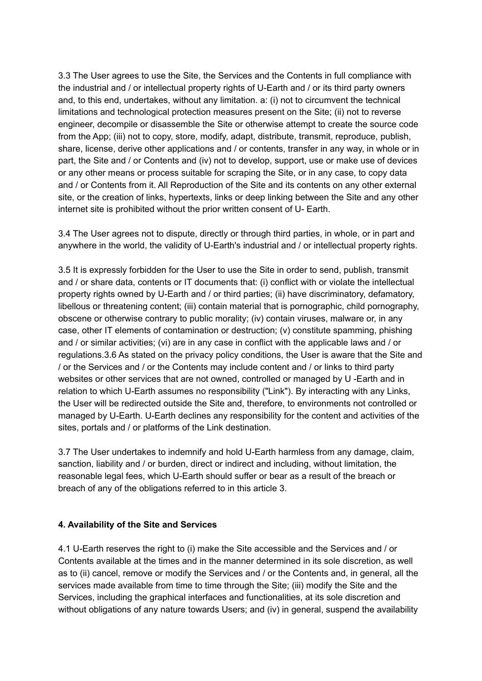3.3 The User agrees to use the Site, the Services and the Contents in full compliance with the industrial and / or intellectual property rights of U-Earth and / or its third party owners and, to this end, undertakes, without any limitation. a: (i) not to circumvent the technical limitations and technological protection measures present on the Site; (ii) not to reverse engineer, decompile or disassemble the Site or otherwise attempt to create the source code from the App; (iii) not to copy, store, modify, adapt, distribute, transmit, reproduce, publish, share, license, derive other applications and / or contents, transfer in any way, in whole or in part, the Site and / or Contents and (iv) not to develop, support, use or make use of devices or any other means or process suitable for scraping the Site, or in any case, to copy data and / or Contents from it. All Reproduction of the Site and its contents on any other external site, or the creation of links, hypertexts, links or deep linking between the Site and any other internet site is prohibited without the prior written consent of U- Earth.

3.4 The User agrees not to dispute, directly or through third parties, in whole, or in part and anywhere in the world, the validity of U-Earth's industrial and / or intellectual property rights.

3.5 It is expressly forbidden for the User to use the Site in order to send, publish, transmit and / or share data, contents or IT documents that: (i) conflict with or violate the intellectual property rights owned by U-Earth and / or third parties; (ii) have discriminatory, defamatory, libellous or threatening content; (iii) contain material that is pornographic, child pornography, obscene or otherwise contrary to public morality; (iv) contain viruses, malware or, in any case, other IT elements of contamination or destruction; (v) constitute spamming, phishing and / or similar activities; (vi) are in any case in conflict with the applicable laws and / or regulations.3.6 As stated on the privacy policy conditions, the User is aware that the Site and / or the Services and / or the Contents may include content and / or links to third party websites or other services that are not owned, controlled or managed by U -Earth and in relation to which U-Earth assumes no responsibility ("Link"). By interacting with any Links, the User will be redirected outside the Site and, therefore, to environments not controlled or managed by U-Earth. U-Earth declines any responsibility for the content and activities of the sites, portals and / or platforms of the Link destination.

3.7 The User undertakes to indemnify and hold U-Earth harmless from any damage, claim, sanction, liability and / or burden, direct or indirect and including, without limitation, the reasonable legal fees, which U-Earth should suffer or bear as a result of the breach or breach of any of the obligations referred to in this article 3.

## **4. Availability of the Site and Services**

4.1 U-Earth reserves the right to (i) make the Site accessible and the Services and / or Contents available at the times and in the manner determined in its sole discretion, as well as to (ii) cancel, remove or modify the Services and / or the Contents and, in general, all the services made available from time to time through the Site; (iii) modify the Site and the Services, including the graphical interfaces and functionalities, at its sole discretion and without obligations of any nature towards Users; and (iv) in general, suspend the availability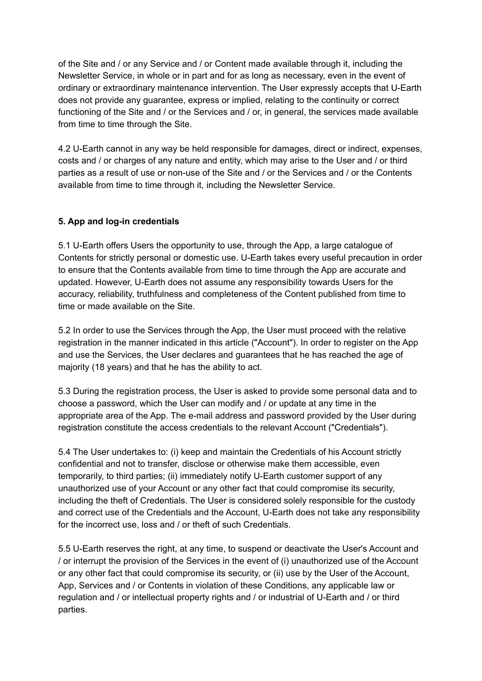of the Site and / or any Service and / or Content made available through it, including the Newsletter Service, in whole or in part and for as long as necessary, even in the event of ordinary or extraordinary maintenance intervention. The User expressly accepts that U-Earth does not provide any guarantee, express or implied, relating to the continuity or correct functioning of the Site and / or the Services and / or, in general, the services made available from time to time through the Site.

4.2 U-Earth cannot in any way be held responsible for damages, direct or indirect, expenses, costs and / or charges of any nature and entity, which may arise to the User and / or third parties as a result of use or non-use of the Site and / or the Services and / or the Contents available from time to time through it, including the Newsletter Service.

#### **5. App and log-in credentials**

5.1 U-Earth offers Users the opportunity to use, through the App, a large catalogue of Contents for strictly personal or domestic use. U-Earth takes every useful precaution in order to ensure that the Contents available from time to time through the App are accurate and updated. However, U-Earth does not assume any responsibility towards Users for the accuracy, reliability, truthfulness and completeness of the Content published from time to time or made available on the Site.

5.2 In order to use the Services through the App, the User must proceed with the relative registration in the manner indicated in this article ("Account"). In order to register on the App and use the Services, the User declares and guarantees that he has reached the age of majority (18 years) and that he has the ability to act.

5.3 During the registration process, the User is asked to provide some personal data and to choose a password, which the User can modify and / or update at any time in the appropriate area of the App. The e-mail address and password provided by the User during registration constitute the access credentials to the relevant Account ("Credentials").

5.4 The User undertakes to: (i) keep and maintain the Credentials of his Account strictly confidential and not to transfer, disclose or otherwise make them accessible, even temporarily, to third parties; (ii) immediately notify U-Earth customer support of any unauthorized use of your Account or any other fact that could compromise its security, including the theft of Credentials. The User is considered solely responsible for the custody and correct use of the Credentials and the Account, U-Earth does not take any responsibility for the incorrect use, loss and / or theft of such Credentials.

5.5 U-Earth reserves the right, at any time, to suspend or deactivate the User's Account and / or interrupt the provision of the Services in the event of (i) unauthorized use of the Account or any other fact that could compromise its security, or (ii) use by the User of the Account, App, Services and / or Contents in violation of these Conditions, any applicable law or regulation and / or intellectual property rights and / or industrial of U-Earth and / or third parties.